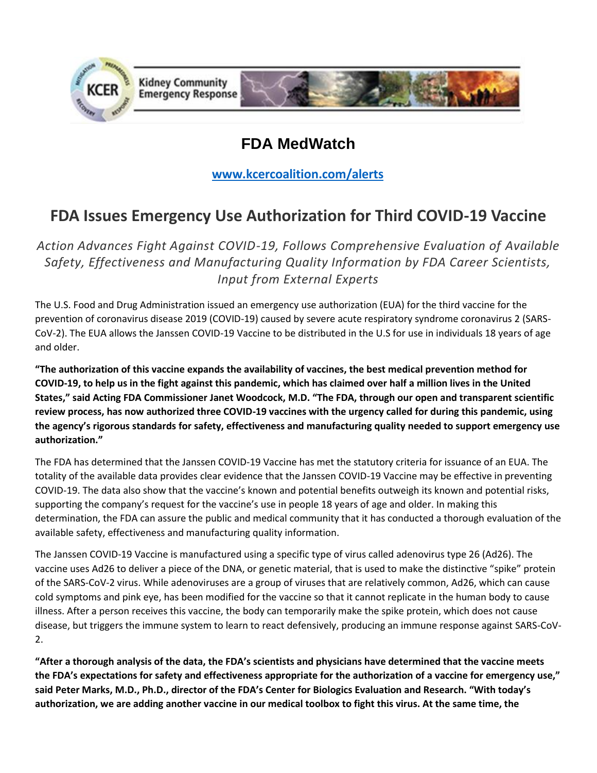

# **FDA MedWatch**

**[www.kcercoalition.com/alerts](http://www.kcercoalition.com/alerts)**

## **FDA Issues Emergency Use Authorization for Third COVID-19 Vaccine**

*Action Advances Fight Against COVID-19, Follows Comprehensive Evaluation of Available Safety, Effectiveness and Manufacturing Quality Information by FDA Career Scientists, Input from External Experts*

The U.S. Food and Drug Administration issued an emergency use authorization (EUA) for the third vaccine for the prevention of coronavirus disease 2019 (COVID-19) caused by severe acute respiratory syndrome coronavirus 2 (SARS-CoV-2). The EUA allows the Janssen COVID-19 Vaccine to be distributed in the U.S for use in individuals 18 years of age and older.

**"The authorization of this vaccine expands the availability of vaccines, the best medical prevention method for COVID-19, to help us in the fight against this pandemic, which has claimed over half a million lives in the United States," said Acting FDA Commissioner Janet Woodcock, M.D. "The FDA, through our open and transparent scientific review process, has now authorized three COVID-19 vaccines with the urgency called for during this pandemic, using the agency's rigorous standards for safety, effectiveness and manufacturing quality needed to support emergency use authorization."**

The FDA has determined that the Janssen COVID-19 Vaccine has met the statutory criteria for issuance of an EUA. The totality of the available data provides clear evidence that the Janssen COVID-19 Vaccine may be effective in preventing COVID-19. The data also show that the vaccine's known and potential benefits outweigh its known and potential risks, supporting the company's request for the vaccine's use in people 18 years of age and older. In making this determination, the FDA can assure the public and medical community that it has conducted a thorough evaluation of the available safety, effectiveness and manufacturing quality information.

The Janssen COVID-19 Vaccine is manufactured using a specific type of virus called adenovirus type 26 (Ad26). The vaccine uses Ad26 to deliver a piece of the DNA, or genetic material, that is used to make the distinctive "spike" protein of the SARS-CoV-2 virus. While adenoviruses are a group of viruses that are relatively common, Ad26, which can cause cold symptoms and pink eye, has been modified for the vaccine so that it cannot replicate in the human body to cause illness. After a person receives this vaccine, the body can temporarily make the spike protein, which does not cause disease, but triggers the immune system to learn to react defensively, producing an immune response against SARS-CoV-2.

**"After a thorough analysis of the data, the FDA's scientists and physicians have determined that the vaccine meets the FDA's expectations for safety and effectiveness appropriate for the authorization of a vaccine for emergency use," said Peter Marks, M.D., Ph.D., director of the FDA's Center for Biologics Evaluation and Research. "With today's authorization, we are adding another vaccine in our medical toolbox to fight this virus. At the same time, the**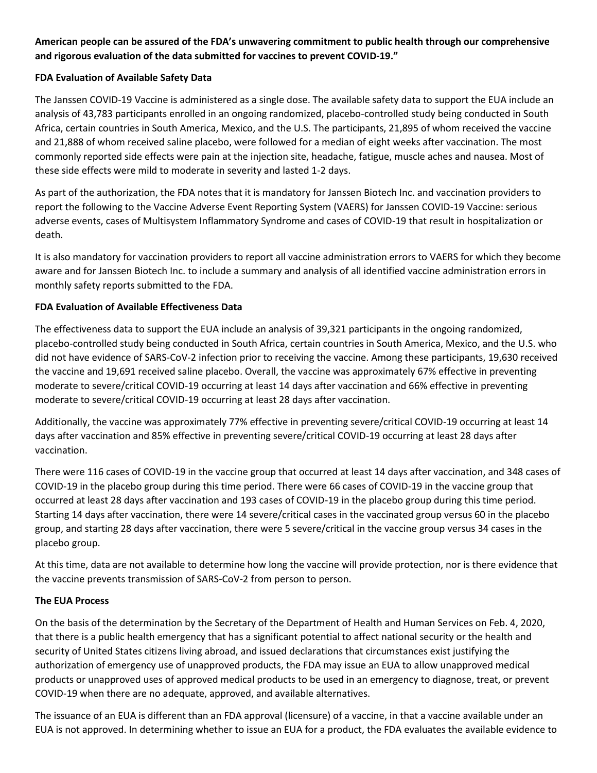## **American people can be assured of the FDA's unwavering commitment to public health through our comprehensive and rigorous evaluation of the data submitted for vaccines to prevent COVID-19."**

### **FDA Evaluation of Available Safety Data**

The Janssen COVID-19 Vaccine is administered as a single dose. The available safety data to support the EUA include an analysis of 43,783 participants enrolled in an ongoing randomized, placebo-controlled study being conducted in South Africa, certain countries in South America, Mexico, and the U.S. The participants, 21,895 of whom received the vaccine and 21,888 of whom received saline placebo, were followed for a median of eight weeks after vaccination. The most commonly reported side effects were pain at the injection site, headache, fatigue, muscle aches and nausea. Most of these side effects were mild to moderate in severity and lasted 1-2 days.

As part of the authorization, the FDA notes that it is mandatory for Janssen Biotech Inc. and vaccination providers to report the following to the Vaccine Adverse Event Reporting System (VAERS) for Janssen COVID-19 Vaccine: serious adverse events, cases of Multisystem Inflammatory Syndrome and cases of COVID-19 that result in hospitalization or death.

It is also mandatory for vaccination providers to report all vaccine administration errors to VAERS for which they become aware and for Janssen Biotech Inc. to include a summary and analysis of all identified vaccine administration errors in monthly safety reports submitted to the FDA.

### **FDA Evaluation of Available Effectiveness Data**

The effectiveness data to support the EUA include an analysis of 39,321 participants in the ongoing randomized, placebo-controlled study being conducted in South Africa, certain countries in South America, Mexico, and the U.S. who did not have evidence of SARS-CoV-2 infection prior to receiving the vaccine. Among these participants, 19,630 received the vaccine and 19,691 received saline placebo. Overall, the vaccine was approximately 67% effective in preventing moderate to severe/critical COVID-19 occurring at least 14 days after vaccination and 66% effective in preventing moderate to severe/critical COVID-19 occurring at least 28 days after vaccination.

Additionally, the vaccine was approximately 77% effective in preventing severe/critical COVID-19 occurring at least 14 days after vaccination and 85% effective in preventing severe/critical COVID-19 occurring at least 28 days after vaccination.

There were 116 cases of COVID-19 in the vaccine group that occurred at least 14 days after vaccination, and 348 cases of COVID-19 in the placebo group during this time period. There were 66 cases of COVID-19 in the vaccine group that occurred at least 28 days after vaccination and 193 cases of COVID-19 in the placebo group during this time period. Starting 14 days after vaccination, there were 14 severe/critical cases in the vaccinated group versus 60 in the placebo group, and starting 28 days after vaccination, there were 5 severe/critical in the vaccine group versus 34 cases in the placebo group.

At this time, data are not available to determine how long the vaccine will provide protection, nor is there evidence that the vaccine prevents transmission of SARS-CoV-2 from person to person.

### **The EUA Process**

On the basis of the determination by the Secretary of the Department of Health and Human Services on Feb. 4, 2020, that there is a public health emergency that has a significant potential to affect national security or the health and security of United States citizens living abroad, and issued declarations that circumstances exist justifying the authorization of emergency use of unapproved products, the FDA may issue an EUA to allow unapproved medical products or unapproved uses of approved medical products to be used in an emergency to diagnose, treat, or prevent COVID-19 when there are no adequate, approved, and available alternatives.

The issuance of an EUA is different than an FDA approval (licensure) of a vaccine, in that a vaccine available under an EUA is not approved. In determining whether to issue an EUA for a product, the FDA evaluates the available evidence to